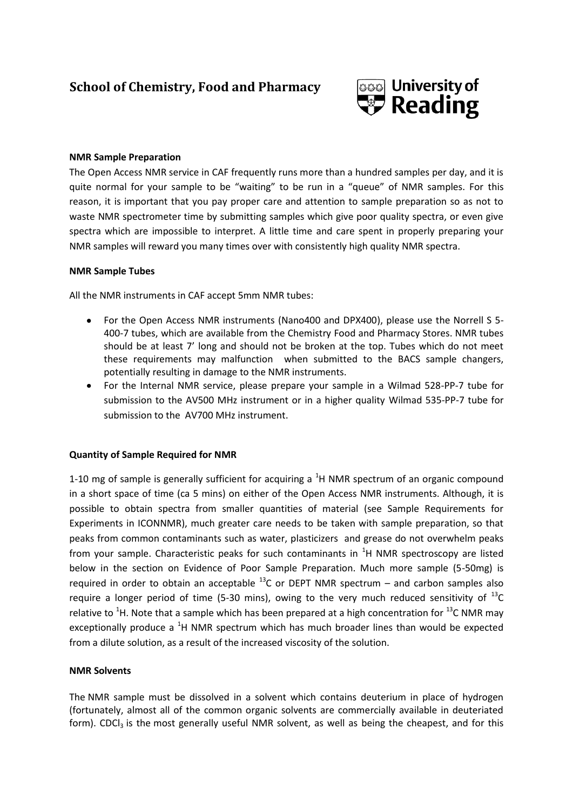# **School of Chemistry, Food and Pharmacy**



### **NMR Sample Preparation**

The Open Access NMR service in CAF frequently runs more than a hundred samples per day, and it is quite normal for your sample to be "waiting" to be run in a "queue" of NMR samples. For this reason, it is important that you pay proper care and attention to sample preparation so as not to waste NMR spectrometer time by submitting samples which give poor quality spectra, or even give spectra which are impossible to interpret. A little time and care spent in properly preparing your NMR samples will reward you many times over with consistently high quality NMR spectra.

### **NMR Sample Tubes**

All the NMR instruments in CAF accept 5mm NMR tubes:

- For the Open Access NMR instruments (Nano400 and DPX400), please use the Norrell S 5- 400-7 tubes, which are available from the Chemistry Food and Pharmacy Stores. NMR tubes should be at least 7' long and should not be broken at the top. Tubes which do not meet these requirements may malfunction when submitted to the BACS sample changers, potentially resulting in damage to the NMR instruments.
- For the Internal NMR service, please prepare your sample in a Wilmad 528-PP-7 tube for submission to the AV500 MHz instrument or in a higher quality Wilmad 535-PP-7 tube for submission to the AV700 MHz instrument.

## **Quantity of Sample Required for NMR**

1-10 mg of sample is generally sufficient for acquiring a  ${}^{1}H$  NMR spectrum of an organic compound in a short space of time (ca 5 mins) on either of the Open Access NMR instruments. Although, it is possible to obtain spectra from smaller quantities of material (see Sample Requirements for Experiments in ICONNMR), much greater care needs to be taken with sample preparation, so that peaks from common contaminants such as water, plasticizers and grease do not overwhelm peaks from your sample. Characteristic peaks for such contaminants in  ${}^{1}H$  NMR spectroscopy are listed below in the section on Evidence of Poor Sample Preparation. Much more sample (5-50mg) is required in order to obtain an acceptable  $^{13}$ C or DEPT NMR spectrum – and carbon samples also require a longer period of time (5-30 mins), owing to the very much reduced sensitivity of  $^{13}$ C relative to <sup>1</sup>H. Note that a sample which has been prepared at a high concentration for <sup>13</sup>C NMR may exceptionally produce a  ${}^{1}H$  NMR spectrum which has much broader lines than would be expected from a dilute solution, as a result of the increased viscosity of the solution.

## **NMR Solvents**

The NMR sample must be dissolved in a solvent which contains deuterium in place of hydrogen (fortunately, almost all of the common organic solvents are commercially available in deuteriated form). CDC $I_3$  is the most generally useful NMR solvent, as well as being the cheapest, and for this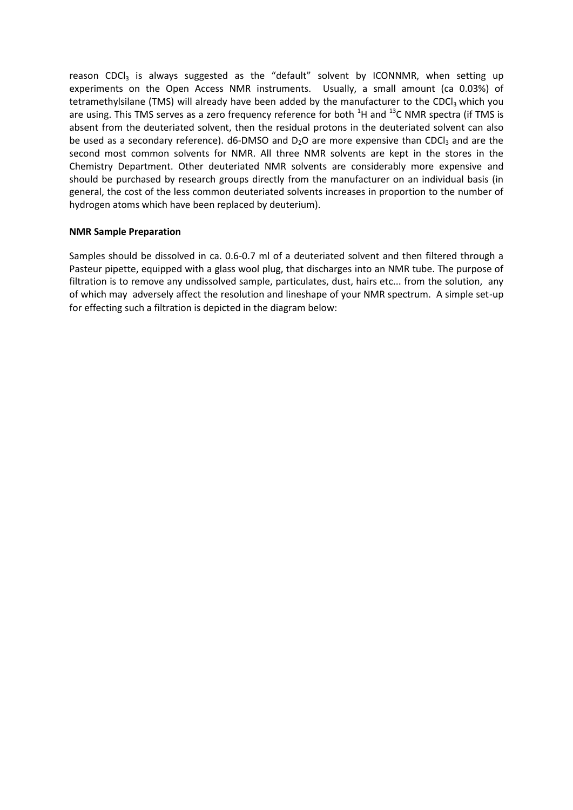reason CDCI<sub>3</sub> is always suggested as the "default" solvent by ICONNMR, when setting up experiments on the Open Access NMR instruments. Usually, a small amount (ca 0.03%) of tetramethylsilane (TMS) will already have been added by the manufacturer to the CDCl<sub>3</sub> which you are using. This TMS serves as a zero frequency reference for both  ${}^{1}$ H and  ${}^{13}$ C NMR spectra (if TMS is absent from the deuteriated solvent, then the residual protons in the deuteriated solvent can also be used as a secondary reference).  $d6-DMSO$  and  $D<sub>2</sub>O$  are more expensive than CDCI<sub>3</sub> and are the second most common solvents for NMR. All three NMR solvents are kept in the stores in the Chemistry Department. Other deuteriated NMR solvents are considerably more expensive and should be purchased by research groups directly from the manufacturer on an individual basis (in general, the cost of the less common deuteriated solvents increases in proportion to the number of hydrogen atoms which have been replaced by deuterium).

#### **NMR Sample Preparation**

Samples should be dissolved in ca. 0.6-0.7 ml of a deuteriated solvent and then filtered through a Pasteur pipette, equipped with a glass wool plug, that discharges into an NMR tube. The purpose of filtration is to remove any undissolved sample, particulates, dust, hairs etc... from the solution, any of which may adversely affect the resolution and lineshape of your NMR spectrum. A simple set-up for effecting such a filtration is depicted in the diagram below: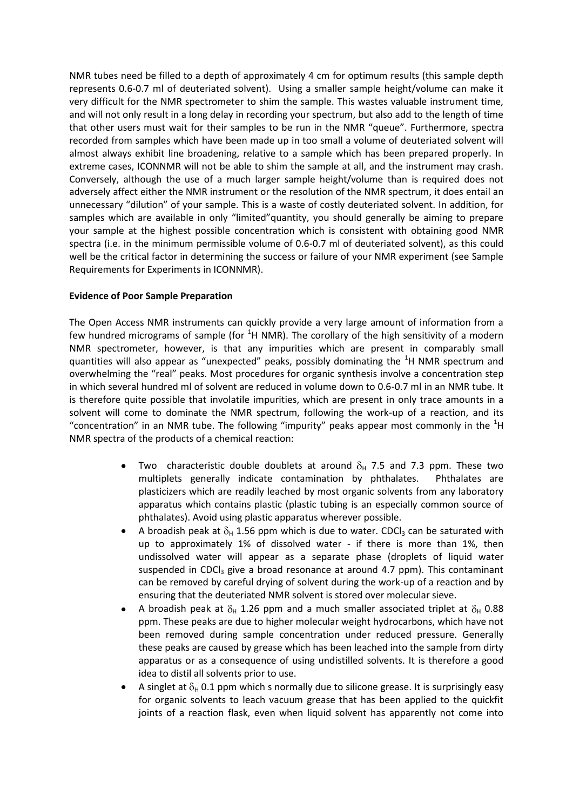NMR tubes need be filled to a depth of approximately 4 cm for optimum results (this sample depth represents 0.6-0.7 ml of deuteriated solvent). Using a smaller sample height/volume can make it very difficult for the NMR spectrometer to shim the sample. This wastes valuable instrument time, and will not only result in a long delay in recording your spectrum, but also add to the length of time that other users must wait for their samples to be run in the NMR "queue". Furthermore, spectra recorded from samples which have been made up in too small a volume of deuteriated solvent will almost always exhibit line broadening, relative to a sample which has been prepared properly. In extreme cases, ICONNMR will not be able to shim the sample at all, and the instrument may crash. Conversely, although the use of a much larger sample height/volume than is required does not adversely affect either the NMR instrument or the resolution of the NMR spectrum, it does entail an unnecessary "dilution" of your sample. This is a waste of costly deuteriated solvent. In addition, for samples which are available in only "limited"quantity, you should generally be aiming to prepare your sample at the highest possible concentration which is consistent with obtaining good NMR spectra (i.e. in the minimum permissible volume of 0.6-0.7 ml of deuteriated solvent), as this could well be the critical factor in determining the success or failure of your NMR experiment (see Sample Requirements for Experiments in ICONNMR).

## **Evidence of Poor Sample Preparation**

The Open Access NMR instruments can quickly provide a very large amount of information from a few hundred micrograms of sample (for  ${}^{1}H$  NMR). The corollary of the high sensitivity of a modern NMR spectrometer, however, is that any impurities which are present in comparably small quantities will also appear as "unexpected" peaks, possibly dominating the  ${}^{1}$ H NMR spectrum and overwhelming the "real" peaks. Most procedures for organic synthesis involve a concentration step in which several hundred ml of solvent are reduced in volume down to 0.6-0.7 ml in an NMR tube. It is therefore quite possible that involatile impurities, which are present in only trace amounts in a solvent will come to dominate the NMR spectrum, following the work-up of a reaction, and its "concentration" in an NMR tube. The following "impurity" peaks appear most commonly in the  ${}^{1}H$ NMR spectra of the products of a chemical reaction:

- Two characteristic double doublets at around  $\delta_{\rm H}$  7.5 and 7.3 ppm. These two multiplets generally indicate contamination by phthalates. Phthalates are plasticizers which are readily leached by most organic solvents from any laboratory apparatus which contains plastic (plastic tubing is an especially common source of phthalates). Avoid using plastic apparatus wherever possible.
- A broadish peak at  $\delta_H$  1.56 ppm which is due to water. CDCl<sub>3</sub> can be saturated with up to approximately 1% of dissolved water - if there is more than 1%, then undissolved water will appear as a separate phase (droplets of liquid water suspended in CDCl<sub>3</sub> give a broad resonance at around 4.7 ppm). This contaminant can be removed by careful drying of solvent during the work-up of a reaction and by ensuring that the deuteriated NMR solvent is stored over molecular sieve.
- A broadish peak at  $\delta_H$  1.26 ppm and a much smaller associated triplet at  $\delta_H$  0.88 ppm. These peaks are due to higher molecular weight hydrocarbons, which have not been removed during sample concentration under reduced pressure. Generally these peaks are caused by grease which has been leached into the sample from dirty apparatus or as a consequence of using undistilled solvents. It is therefore a good idea to distil all solvents prior to use.
- A singlet at  $\delta_H$  0.1 ppm which s normally due to silicone grease. It is surprisingly easy for organic solvents to leach vacuum grease that has been applied to the quickfit joints of a reaction flask, even when liquid solvent has apparently not come into